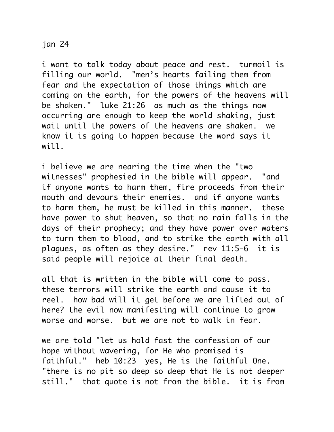## jan 24

i want to talk today about peace and rest. turmoil is filling our world. "men's hearts failing them from fear and the expectation of those things which are coming on the earth, for the powers of the heavens will be shaken." luke 21:26 as much as the things now occurring are enough to keep the world shaking, just wait until the powers of the heavens are shaken. we know it is going to happen because the word says it will.

i believe we are nearing the time when the "two witnesses" prophesied in the bible will appear. "and if anyone wants to harm them, fire proceeds from their mouth and devours their enemies. and if anyone wants to harm them, he must be killed in this manner. these have power to shut heaven, so that no rain falls in the days of their prophecy; and they have power over waters to turn them to blood, and to strike the earth with all plagues, as often as they desire." rev 11:5-6 it is said people will rejoice at their final death.

all that is written in the bible will come to pass. these terrors will strike the earth and cause it to reel. how bad will it get before we are lifted out of here? the evil now manifesting will continue to grow worse and worse. but we are not to walk in fear.

we are told "let us hold fast the confession of our hope without wavering, for He who promised is faithful." heb 10:23 yes, He is the faithful One. "there is no pit so deep so deep that He is not deeper still." that quote is not from the bible. it is from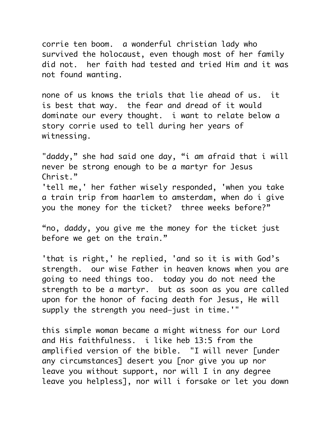corrie ten boom. a wonderful christian lady who survived the holocaust, even though most of her family did not. her faith had tested and tried Him and it was not found wanting.

none of us knows the trials that lie ahead of us. it is best that way. the fear and dread of it would dominate our every thought. i want to relate below a story corrie used to tell during her years of witnessing.

"daddy," she had said one day, "i am afraid that i will never be strong enough to be a martyr for Jesus Christ." 'tell me,' her father wisely responded, 'when you take a train trip from haarlem to amsterdam, when do i give you the money for the ticket? three weeks before?"

"no, daddy, you give me the money for the ticket just before we get on the train."

'that is right,' he replied, 'and so it is with God's strength. our wise Father in heaven knows when you are going to need things too. today you do not need the strength to be a martyr. but as soon as you are called upon for the honor of facing death for Jesus, He will supply the strength you need—just in time.'"

this simple woman became a might witness for our Lord and His faithfulness. i like heb 13:5 from the amplified version of the bible. "I will never [under any circumstances] desert you [nor give you up nor leave you without support, nor will I in any degree leave you helpless], nor will i forsake or let you down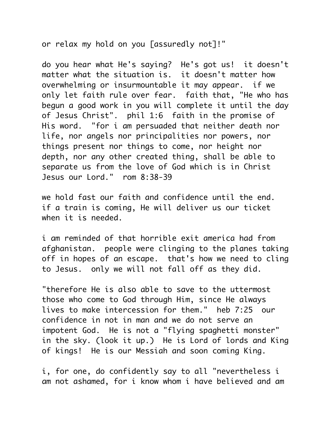or relax my hold on you [assuredly not]!"

do you hear what He's saying? He's got us! it doesn't matter what the situation is. it doesn't matter how overwhelming or insurmountable it may appear. if we only let faith rule over fear. faith that, "He who has begun a good work in you will complete it until the day of Jesus Christ". phil 1:6 faith in the promise of His word. "for i am persuaded that neither death nor life, nor angels nor principalities nor powers, nor things present nor things to come, nor height nor depth, nor any other created thing, shall be able to separate us from the love of God which is in Christ Jesus our Lord." rom 8:38-39

we hold fast our faith and confidence until the end. if a train is coming, He will deliver us our ticket when it is needed.

i am reminded of that horrible exit america had from afghanistan. people were clinging to the planes taking off in hopes of an escape. that's how we need to cling to Jesus. only we will not fall off as they did.

"therefore He is also able to save to the uttermost those who come to God through Him, since He always lives to make intercession for them." heb 7:25 our confidence in not in man and we do not serve an impotent God. He is not a "flying spaghetti monster" in the sky. (look it up.) He is Lord of lords and King of kings! He is our Messiah and soon coming King.

i, for one, do confidently say to all "nevertheless i am not ashamed, for i know whom i have believed and am